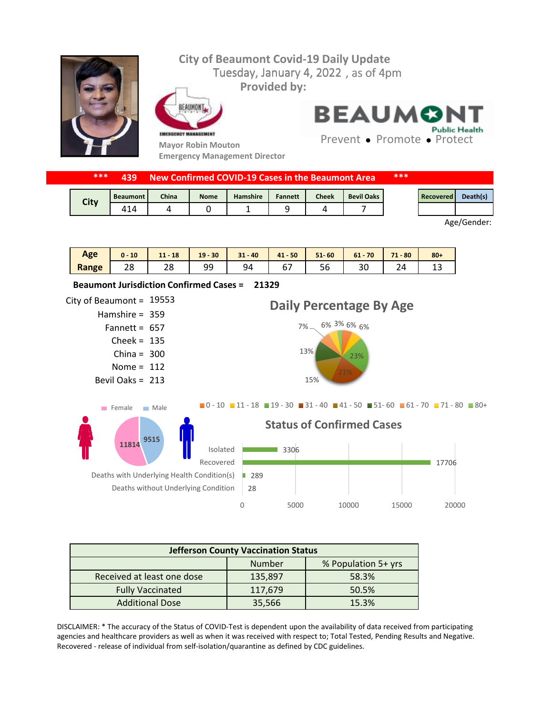

| ***  | 439             |       |             | New Confirmed COVID-19 Cases in the Beaumont Area |                |              |                   | *** |                  |          |
|------|-----------------|-------|-------------|---------------------------------------------------|----------------|--------------|-------------------|-----|------------------|----------|
|      | <b>Beaumont</b> | China | <b>Nome</b> | Hamshire                                          | <b>Fannett</b> | <b>Cheek</b> | <b>Bevil Oaks</b> |     | <b>Recovered</b> | Death(s) |
| City |                 |       |             |                                                   |                |              |                   |     |                  |          |

Age/Gender:

| Age   | 10       | <b>18</b><br>11 | $-30$<br>19 | $-40$<br>21<br>51. | $-50$<br>41                                | $51 - 60$ | 70<br>$^{c}$<br><b>b</b><br>$\sim$ | $-80$<br>71 | $80 +$ |
|-------|----------|-----------------|-------------|--------------------|--------------------------------------------|-----------|------------------------------------|-------------|--------|
| Range | วด<br>20 | 20              | ۵۵<br>ر ر   | 94                 | $\overline{\phantom{0}}$<br><u>_</u><br>ັບ | эt        | υc                                 | 24          | - 11   |



| <b>Jefferson County Vaccination Status</b> |         |       |  |  |  |  |
|--------------------------------------------|---------|-------|--|--|--|--|
| Number<br>% Population 5+ yrs              |         |       |  |  |  |  |
| Received at least one dose                 | 135,897 | 58.3% |  |  |  |  |
| <b>Fully Vaccinated</b>                    | 117,679 | 50.5% |  |  |  |  |
| <b>Additional Dose</b>                     | 35,566  | 15.3% |  |  |  |  |

DISCLAIMER: \* The accuracy of the Status of COVID-Test is dependent upon the availability of data received from participating agencies and healthcare providers as well as when it was received with respect to; Total Tested, Pending Results and Negative. Recovered - release of individual from self-isolation/quarantine as defined by CDC guidelines.